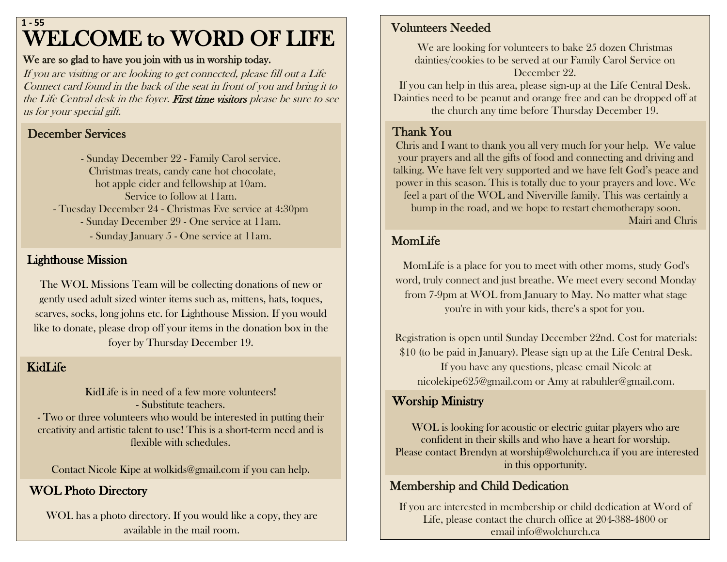## WELCOME to WORD OF LIFE **1 - 55**

#### We are so glad to have you join with us in worship today.

If you are visiting or are looking to get connected, please fill out a Life Connect card found in the back of the seat in front of you and bring it to the Life Central desk in the foyer. First time visitors please be sure to see us for your special gift.

### December Services

- Sunday December 22 - Family Carol service. Christmas treats, candy cane hot chocolate, hot apple cider and fellowship at 10am. Service to follow at 11am. - Tuesday December 24 - Christmas Eve service at 4:30pm - Sunday December 29 - One service at 11am. - Sunday January 5 - One service at 11am.

## ${\bf L}$ ighthouse Mission

The WOL Missions Team will be collecting donations of new or gently used adult sized winter items such as, mittens, hats, toques, scarves, socks, long johns etc. for Lighthouse Mission. If you would like to donate, please drop off your items in the donation box in the foyer by Thursday December 19.

#### KidLife

KidLife is in need of a few more volunteers! - Substitute teachers.

- Two or three volunteers who would be interested in putting their creativity and artistic talent to use! This is a short-term need and is flexible with schedules.

Contact Nicole Kipe at [wolkids@gmail.com](mailto:wolkids@gmail.com) if you can help.

## WOL Photo Directory

WOL has a photo directory. If you would like a copy, they are available in the mail room.

### Volunteers Needed

We are looking for volunteers to bake 25 dozen Christmas dainties/cookies to be served at our Family Carol Service on December 22.

If you can help in this area, please sign-up at the Life Central Desk. Dainties need to be peanut and orange free and can be dropped off at the church any time before Thursday December 19.

#### Thank You

Chris and I want to thank you all very much for your help. We value your prayers and all the gifts of food and connecting and driving and talking. We have felt very supported and we have felt God's peace and power in this season. This is totally due to your prayers and love. We feel a part of the WOL and Niverville family. This was certainly a bump in the road, and we hope to restart chemotherapy soon. Mairi and Chris

MomLife

MomLife is a place for you to meet with other moms, study God's word, truly connect and just breathe. We meet every second Monday from 7-9pm at WOL from January to May. No matter what stage you're in with your kids, there's a spot for you.

Registration is open until Sunday December 22nd. Cost for materials: \$10 (to be paid in January). Please sign up at the Life Central Desk. If you have any questions, please email Nicole at [nicolekipe625@gmail.com](mailto:nicolekipe625@gmail.com) or Amy at [rabuhler@gmail.com.](mailto:rabuhler@gmail.com)

### Worship Ministry

WOL is looking for acoustic or electric guitar players who are confident in their skills and who have a heart for worship. Please contact Brendyn at worship@wolchurch.ca if you are interested in this opportunity.

#### Membership and Child Dedication

If you are interested in membership or child dedication at Word of Life, please contact the church office at 204-388-4800 or email info@wolchurch.ca